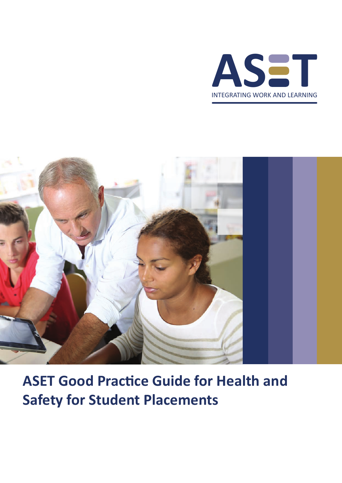



**ASET Good Practice Guide for Health and Safety for Student Placements**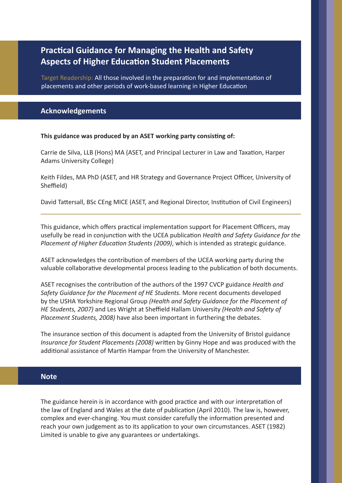# **Practical Guidance for Managing the Health and Safety Aspects of Higher Education Student Placements**

Target Readership: All those involved in the preparation for and implementation of placements and other periods of work-based learning in Higher Education

# **Acknowledgements**

**This guidance was produced by an ASET working party consisting of:**

Carrie de Silva, LLB (Hons) MA (ASET, and Principal Lecturer in Law and Taxation, Harper Adams University College)

Keith Fildes, MA PhD (ASET, and HR Strategy and Governance Project Officer, University of Sheffield)

David Tattersall, BSc CEng MICE (ASET, and Regional Director, Institution of Civil Engineers)

This guidance, which offers practical implementation support for Placement Officers, may usefully be read in conjunction with the UCEA publication *Health and Safety Guidance for the Placement of Higher Education Students (2009)*, which is intended as strategic guidance.

ASET acknowledges the contribution of members of the UCEA working party during the valuable collaborative developmental process leading to the publication of both documents.

ASET recognises the contribution of the authors of the 1997 CVCP guidance *Health and Safety Guidance for the Placement of HE Students.* More recent documents developed by the USHA Yorkshire Regional Group *(Health and Safety Guidance for the Placement of HE Students, 2007)* and Les Wright at Sheffield Hallam University *(Health and Safety of Placement Students, 2008)* have also been important in furthering the debates.

The insurance section of this document is adapted from the University of Bristol guidance *Insurance for Student Placements (2008)* written by Ginny Hope and was produced with the additional assistance of Martin Hampar from the University of Manchester.

## **Note**

The guidance herein is in accordance with good practice and with our interpretation of the law of England and Wales at the date of publication (April 2010). The law is, however, complex and ever-changing. You must consider carefully the information presented and reach your own judgement as to its application to your own circumstances. ASET (1982) Limited is unable to give any guarantees or undertakings.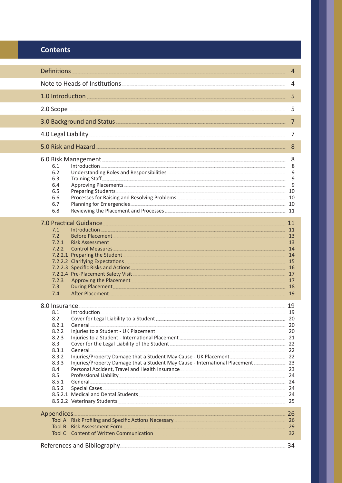# **Contents**

|                                                                                                                                                                                                                                                                                                                                                                                                                                                                                                                                                                                                                                                                                                                                                                                                                                                                                                                                                                                                                                                                                                                                                                                                                                                                                                                                                             | 4                     |
|-------------------------------------------------------------------------------------------------------------------------------------------------------------------------------------------------------------------------------------------------------------------------------------------------------------------------------------------------------------------------------------------------------------------------------------------------------------------------------------------------------------------------------------------------------------------------------------------------------------------------------------------------------------------------------------------------------------------------------------------------------------------------------------------------------------------------------------------------------------------------------------------------------------------------------------------------------------------------------------------------------------------------------------------------------------------------------------------------------------------------------------------------------------------------------------------------------------------------------------------------------------------------------------------------------------------------------------------------------------|-----------------------|
|                                                                                                                                                                                                                                                                                                                                                                                                                                                                                                                                                                                                                                                                                                                                                                                                                                                                                                                                                                                                                                                                                                                                                                                                                                                                                                                                                             | 4                     |
|                                                                                                                                                                                                                                                                                                                                                                                                                                                                                                                                                                                                                                                                                                                                                                                                                                                                                                                                                                                                                                                                                                                                                                                                                                                                                                                                                             | 5                     |
|                                                                                                                                                                                                                                                                                                                                                                                                                                                                                                                                                                                                                                                                                                                                                                                                                                                                                                                                                                                                                                                                                                                                                                                                                                                                                                                                                             | 5                     |
|                                                                                                                                                                                                                                                                                                                                                                                                                                                                                                                                                                                                                                                                                                                                                                                                                                                                                                                                                                                                                                                                                                                                                                                                                                                                                                                                                             | 7                     |
| 4.0 Legal Liability                                                                                                                                                                                                                                                                                                                                                                                                                                                                                                                                                                                                                                                                                                                                                                                                                                                                                                                                                                                                                                                                                                                                                                                                                                                                                                                                         | 7                     |
| 5.0 Risk and Hazard                                                                                                                                                                                                                                                                                                                                                                                                                                                                                                                                                                                                                                                                                                                                                                                                                                                                                                                                                                                                                                                                                                                                                                                                                                                                                                                                         | 8                     |
| 6.1<br>6.2<br>6.3<br>6.4<br>6.5<br>Preparing Students 2008 and 2008 and 2008 and 2008 and 2008 and 2008 and 2008 and 2008 and 2008 and 2008 and 20<br>6.6<br>6.7<br>6.8                                                                                                                                                                                                                                                                                                                                                                                                                                                                                                                                                                                                                                                                                                                                                                                                                                                                                                                                                                                                                                                                                                                                                                                     | 8<br>8<br>9<br>9<br>9 |
| 7.0 Practical Guidance 11 and 200 million 200 million 200 million 200 million 200 million 200 million 200 mill<br>7.1<br>7.2<br>Before Placement 13<br>7.2.1<br>Risk Assessment 13 and 20 million and 20 million and 20 million and 20 million and 20 million and 20 million a<br>7.2.2<br>Control Measures 14<br>7.2.2.1 Preparing the Student 2008 and 2008 and 2008 and 2008 and 2008 and 2008 and 2008 and 2008 and 2008 and 2008 and 2008 and 2008 and 2008 and 2008 and 2008 and 2008 and 2008 and 2008 and 2008 and 2008 and 2008 and 200<br>7.2.2.2 Clarifying Expectations 2014 15 20 20 21 22:32 Clarifying Expectations 2014<br>Approving the Placement 2008 and 2008 and 2008 and 2008 and 2008 and 2008 and 2008 and 2008 and 2008 and 2008 and 2008 and 2008 and 2008 and 2008 and 2008 and 2008 and 2008 and 2008 and 2008 and 2008 and 2008 and 2008 and<br>7.2.3<br>7.3<br>During Placement 2014 18<br>7.4<br>After Placement 2014 19                                                                                                                                                                                                                                                                                                                                                                                                      |                       |
| 8.0 Insurance 19 and 20 and 20 and 20 and 20 and 20 and 20 and 20 and 20 and 20 and 20 and 20 and 20 and 20 an<br>8.1<br>8.2<br><u>General 20 Parameters and the set of the set of the set of the set of the set of the set of the set of the set of the set of the set of the set of the set of the set of the set of the set of the set of the set of the set </u><br>8.2.1<br>8.2.2<br>8.2.3<br>Cover for the Legal Liability of the Student [22] 22<br>8.3<br>8.3.1<br><u>General 22 Seneral 2006 and 2006 and 2006 and 2006 and 2006 and 2006 and 2006 and 2006 and 2006 and 2006 and 2006 and 2006 and 2006 and 2006 and 2006 and 2006 and 2006 and 2006 and 2006 and 2006 and 2006 and 2006 and 2006</u><br>8.3.2<br>8.3.3<br>Injuries/Property Damage that a Student May Cause - International Placement [100011] 23<br>Personal Accident, Travel and Health Insurance [19] 23 23<br>8.4<br>8.5<br>Professional Liability 24<br>8.5.1<br>8.5.2<br>Special Cases 24 and 24 and 24 and 24 and 25 and 26 and 26 and 26 and 26 and 26 and 26 and 26 and 26 and 26 and 26 and 26 and 26 and 26 and 26 and 26 and 26 and 26 and 26 and 26 and 26 and 26 and 26 and 26 and 26 and 26 an<br>8.5.2.1 Medical and Dental Students Contract and Contract and Capital Students Capital Association Capital Ass<br>8.5.2.2 Veterinary Students 25 25 25 26 27 28 |                       |
| Tool A Risk Profiling and Specific Actions Necessary Manual Action 26 and 26<br>Risk Assessment Form 29<br>Tool B                                                                                                                                                                                                                                                                                                                                                                                                                                                                                                                                                                                                                                                                                                                                                                                                                                                                                                                                                                                                                                                                                                                                                                                                                                           |                       |
|                                                                                                                                                                                                                                                                                                                                                                                                                                                                                                                                                                                                                                                                                                                                                                                                                                                                                                                                                                                                                                                                                                                                                                                                                                                                                                                                                             |                       |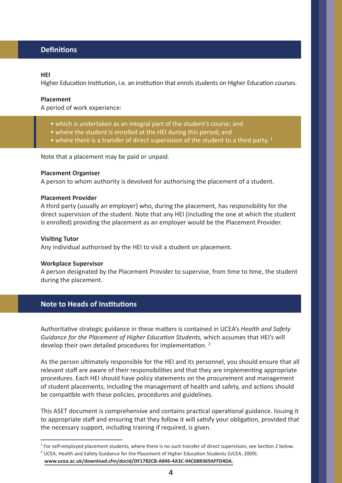# **Definitions**

## **HEI**

Higher Education Institution, i.e. an institution that enrols students on Higher Education courses.

## **Placement**

A period of work experience:

- which is undertaken as an integral part of the student's course; and
- where the student is enrolled at the HEI during this period; and
- where there is a transfer of direct supervision of the student to a third party.  $1$

Note that a placement may be paid or unpaid.

#### **Placement Organiser**

A person to whom authority is devolved for authorising the placement of a student.

## **Placement Provider**

A third party (usually an employer) who, during the placement, has responsibility for the direct supervision of the student. Note that any HEI (including the one at which the student is enrolled) providing the placement as an employer would be the Placement Provider.

#### **Visiting Tutor**

Any individual authorised by the HEI to visit a student on placement.

#### **Workplace Supervisor**

A person designated by the Placement Provider to supervise, from time to time, the student during the placement.

# **Note to Heads of Institutions**

Authoritative strategic guidance in these matters is contained in UCEA's *Health and Safety Guidance for the Placement of Higher Education Students,* which assumes that HEI's will develop their own detailed procedures for implementation.<sup>2</sup>

As the person ultimately responsible for the HEI and its personnel, you should ensure that all relevant staff are aware of their responsibilities and that they are implementing appropriate procedures. Each HEI should have policy statements on the procurement and management of student placements, including the management of health and safety, and actions should be compatible with these policies, procedures and guidelines.

This ASET document is comprehensive and contains practical operational guidance. Issuing it to appropriate staff and ensuring that they follow it will satisfy your obligation, provided that the necessary support, including training if required, is given.

 $1$  For self-employed placement students, where there is no such transfer of direct supervision, see Section 2 below.

<sup>&</sup>lt;sup>2</sup> UCEA, Health and Safety Guidance for the Placement of Higher Education Students (UCEA, 2009).

**www.ucea.ac.uk/download.cfm/docid/DF1782CB-A846-4A3C-94C68B369AFFD4DA.**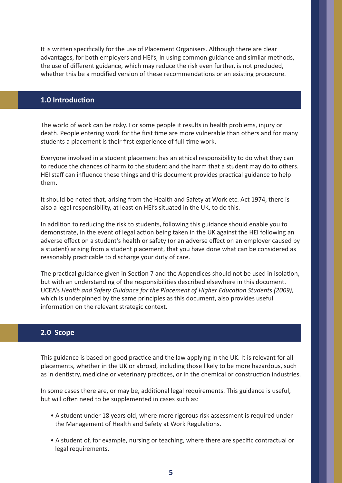It is written specifically for the use of Placement Organisers. Although there are clear advantages, for both employers and HEI's, in using common guidance and similar methods, the use of different guidance, which may reduce the risk even further, is not precluded, whether this be a modified version of these recommendations or an existing procedure.

## **1.0 Introduction**

The world of work can be risky. For some people it results in health problems, injury or death. People entering work for the first time are more vulnerable than others and for many students a placement is their first experience of full-time work.

Everyone involved in a student placement has an ethical responsibility to do what they can to reduce the chances of harm to the student and the harm that a student may do to others. HEI staff can influence these things and this document provides practical guidance to help them.

It should be noted that, arising from the Health and Safety at Work etc. Act 1974, there is also a legal responsibility, at least on HEI's situated in the UK, to do this.

In addition to reducing the risk to students, following this guidance should enable you to demonstrate, in the event of legal action being taken in the UK against the HEI following an adverse effect on a student's health or safety (or an adverse effect on an employer caused by a student) arising from a student placement, that you have done what can be considered as reasonably practicable to discharge your duty of care.

The practical guidance given in Section 7 and the Appendices should not be used in isolation, but with an understanding of the responsibilities described elsewhere in this document. UCEA's *Health and Safety Guidance for the Placement of Higher Education Students (2009),* which is underpinned by the same principles as this document, also provides useful information on the relevant strategic context.

# **2.0 Scope**

This guidance is based on good practice and the law applying in the UK. It is relevant for all placements, whether in the UK or abroad, including those likely to be more hazardous, such as in dentistry, medicine or veterinary practices, or in the chemical or construction industries.

In some cases there are, or may be, additional legal requirements. This guidance is useful, but will often need to be supplemented in cases such as:

- A student under 18 years old, where more rigorous risk assessment is required under the Management of Health and Safety at Work Regulations.
- A student of, for example, nursing or teaching, where there are specific contractual or legal requirements.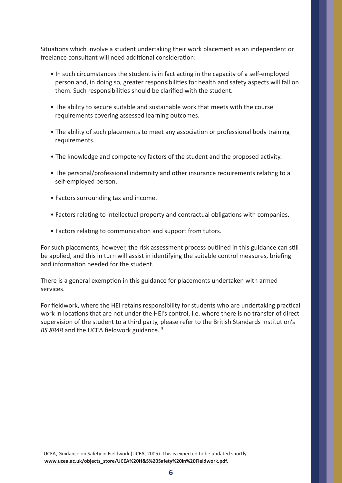Situations which involve a student undertaking their work placement as an independent or freelance consultant will need additional consideration:

- In such circumstances the student is in fact acting in the capacity of a self-employed person and, in doing so, greater responsibilities for health and safety aspects will fall on them. Such responsibilities should be clarified with the student.
- The ability to secure suitable and sustainable work that meets with the course requirements covering assessed learning outcomes.
- The ability of such placements to meet any association or professional body training requirements.
- The knowledge and competency factors of the student and the proposed activity.
- The personal/professional indemnity and other insurance requirements relating to a self-employed person.
- Factors surrounding tax and income.
- Factors relating to intellectual property and contractual obligations with companies.
- Factors relating to communication and support from tutors.

For such placements, however, the risk assessment process outlined in this guidance can still be applied, and this in turn will assist in identifying the suitable control measures, briefing and information needed for the student.

There is a general exemption in this guidance for placements undertaken with armed services.

For fieldwork, where the HEI retains responsibility for students who are undertaking practical work in locations that are not under the HEI's control, i.e. where there is no transfer of direct supervision of the student to a third party, please refer to the British Standards Institution's *BS 8848* and the UCEA fieldwork guidance. <sup>3</sup>

<sup>3</sup> UCEA, Guidance on Safety in Fieldwork (UCEA, 2005). This is expected to be updated shortly.  **www.ucea.ac.uk/objects\_store/UCEA%20H&S%20Safety%20in%20Fieldwork.pdf.**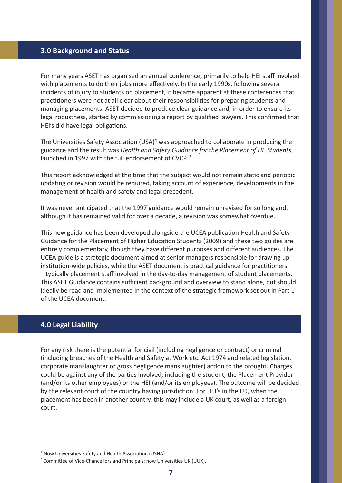## **3.0 Background and Status**

For many years ASET has organised an annual conference, primarily to help HEI staff involved with placements to do their jobs more effectively. In the early 1990s, following several incidents of injury to students on placement, it became apparent at these conferences that practitioners were not at all clear about their responsibilities for preparing students and managing placements. ASET decided to produce clear guidance and, in order to ensure its legal robustness, started by commissioning a report by qualified lawyers. This confirmed that HEI's did have legal obligations.

The Universities Safety Association (USA)<sup>4</sup> was approached to collaborate in producing the guidance and the result was *Health and Safety Guidance for the Placement of HE Students*, launched in 1997 with the full endorsement of CVCP. <sup>5</sup>

This report acknowledged at the time that the subject would not remain static and periodic updating or revision would be required, taking account of experience, developments in the management of health and safety and legal precedent.

It was never anticipated that the 1997 guidance would remain unrevised for so long and, although it has remained valid for over a decade, a revision was somewhat overdue.

This new guidance has been developed alongside the UCEA publication Health and Safety Guidance for the Placement of Higher Education Students (2009) and these two guides are entirely complementary, though they have different purposes and different audiences. The UCEA guide is a strategic document aimed at senior managers responsible for drawing up institution-wide policies, while the ASET document is practical guidance for practitioners – typically placement staff involved in the day-to-day management of student placements. This ASET Guidance contains sufficient background and overview to stand alone, but should ideally be read and implemented in the context of the strategic framework set out in Part 1 of the UCEA document.

# **4.0 Legal Liability**

For any risk there is the potential for civil (including negligence or contract) or criminal (including breaches of the Health and Safety at Work etc. Act 1974 and related legislation, corporate manslaughter or gross negligence manslaughter) action to the brought. Charges could be against any of the parties involved, including the student, the Placement Provider (and/or its other employees) or the HEI (and/or its employees). The outcome will be decided by the relevant court of the country having jurisdiction. For HEI's in the UK, when the placement has been in another country, this may include a UK court, as well as a foreign court.

<sup>&</sup>lt;sup>4</sup> Now Universities Safety and Health Association (USHA).

<sup>&</sup>lt;sup>5</sup> Committee of Vice-Chancellors and Principals; now Universities UK (UUK).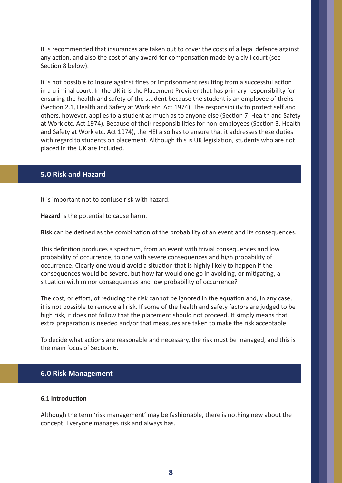It is recommended that insurances are taken out to cover the costs of a legal defence against any action, and also the cost of any award for compensation made by a civil court (see Section 8 below).

It is not possible to insure against fines or imprisonment resulting from a successful action in a criminal court. In the UK it is the Placement Provider that has primary responsibility for ensuring the health and safety of the student because the student is an employee of theirs (Section 2.1, Health and Safety at Work etc. Act 1974). The responsibility to protect self and others, however, applies to a student as much as to anyone else (Section 7, Health and Safety at Work etc. Act 1974). Because of their responsibilities for non-employees (Section 3, Health and Safety at Work etc. Act 1974), the HEI also has to ensure that it addresses these duties with regard to students on placement. Although this is UK legislation, students who are not placed in the UK are included.

# **5.0 Risk and Hazard**

It is important not to confuse risk with hazard.

**Hazard** is the potential to cause harm.

**Risk** can be defined as the combination of the probability of an event and its consequences.

This definition produces a spectrum, from an event with trivial consequences and low probability of occurrence, to one with severe consequences and high probability of occurrence. Clearly one would avoid a situation that is highly likely to happen if the consequences would be severe, but how far would one go in avoiding, or mitigating, a situation with minor consequences and low probability of occurrence?

The cost, or effort, of reducing the risk cannot be ignored in the equation and, in any case, it is not possible to remove all risk. If some of the health and safety factors are judged to be high risk, it does not follow that the placement should not proceed. It simply means that extra preparation is needed and/or that measures are taken to make the risk acceptable.

To decide what actions are reasonable and necessary, the risk must be managed, and this is the main focus of Section 6.

# **6.0 Risk Management**

## **6.1 Introduction**

Although the term 'risk management' may be fashionable, there is nothing new about the concept. Everyone manages risk and always has.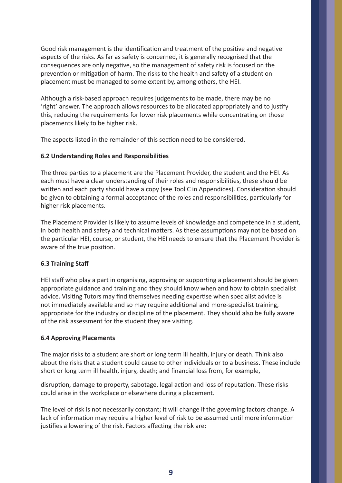Good risk management is the identification and treatment of the positive and negative aspects of the risks. As far as safety is concerned, it is generally recognised that the consequences are only negative, so the management of safety risk is focused on the prevention or mitigation of harm. The risks to the health and safety of a student on placement must be managed to some extent by, among others, the HEI.

Although a risk-based approach requires judgements to be made, there may be no 'right' answer. The approach allows resources to be allocated appropriately and to justify this, reducing the requirements for lower risk placements while concentrating on those placements likely to be higher risk.

The aspects listed in the remainder of this section need to be considered.

## **6.2 Understanding Roles and Responsibilities**

The three parties to a placement are the Placement Provider, the student and the HEI. As each must have a clear understanding of their roles and responsibilities, these should be written and each party should have a copy (see Tool C in Appendices). Consideration should be given to obtaining a formal acceptance of the roles and responsibilities, particularly for higher risk placements.

The Placement Provider is likely to assume levels of knowledge and competence in a student, in both health and safety and technical matters. As these assumptions may not be based on the particular HEI, course, or student, the HEI needs to ensure that the Placement Provider is aware of the true position.

# **6.3 Training Staff**

HEI staff who play a part in organising, approving or supporting a placement should be given appropriate guidance and training and they should know when and how to obtain specialist advice. Visiting Tutors may find themselves needing expertise when specialist advice is not immediately available and so may require additional and more-specialist training, appropriate for the industry or discipline of the placement. They should also be fully aware of the risk assessment for the student they are visiting.

## **6.4 Approving Placements**

The major risks to a student are short or long term ill health, injury or death. Think also about the risks that a student could cause to other individuals or to a business. These include short or long term ill health, injury, death; and financial loss from, for example,

disruption, damage to property, sabotage, legal action and loss of reputation. These risks could arise in the workplace or elsewhere during a placement.

The level of risk is not necessarily constant; it will change if the governing factors change. A lack of information may require a higher level of risk to be assumed until more information justifies a lowering of the risk. Factors affecting the risk are: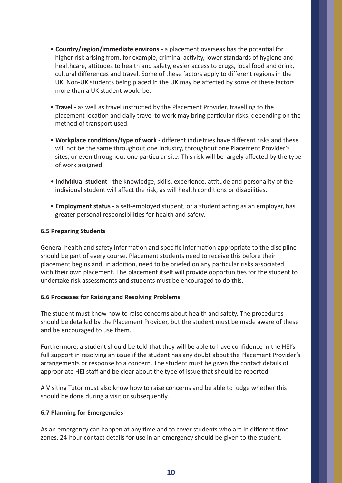- **Country/region/immediate environs** a placement overseas has the potential for higher risk arising from, for example, criminal activity, lower standards of hygiene and healthcare, attitudes to health and safety, easier access to drugs, local food and drink, cultural differences and travel. Some of these factors apply to different regions in the UK. Non-UK students being placed in the UK may be affected by some of these factors more than a UK student would be.
- **Travel** as well as travel instructed by the Placement Provider, travelling to the placement location and daily travel to work may bring particular risks, depending on the method of transport used.
- **Workplace conditions/type of work**  different industries have different risks and these will not be the same throughout one industry, throughout one Placement Provider's sites, or even throughout one particular site. This risk will be largely affected by the type of work assigned.
- **Individual student** the knowledge, skills, experience, attitude and personality of the individual student will affect the risk, as will health conditions or disabilities.
- **Employment status** a self-employed student, or a student acting as an employer, has greater personal responsibilities for health and safety.

## **6.5 Preparing Students**

General health and safety information and specific information appropriate to the discipline should be part of every course. Placement students need to receive this before their placement begins and, in addition, need to be briefed on any particular risks associated with their own placement. The placement itself will provide opportunities for the student to undertake risk assessments and students must be encouraged to do this.

## **6.6 Processes for Raising and Resolving Problems**

The student must know how to raise concerns about health and safety. The procedures should be detailed by the Placement Provider, but the student must be made aware of these and be encouraged to use them.

Furthermore, a student should be told that they will be able to have confidence in the HEI's full support in resolving an issue if the student has any doubt about the Placement Provider's arrangements or response to a concern. The student must be given the contact details of appropriate HEI staff and be clear about the type of issue that should be reported.

A Visiting Tutor must also know how to raise concerns and be able to judge whether this should be done during a visit or subsequently.

# **6.7 Planning for Emergencies**

As an emergency can happen at any time and to cover students who are in different time zones, 24-hour contact details for use in an emergency should be given to the student.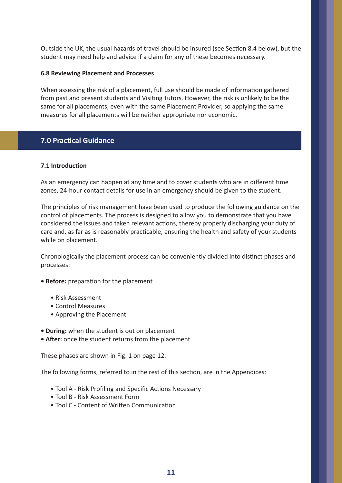Outside the UK, the usual hazards of travel should be insured (see Section 8.4 below), but the student may need help and advice if a claim for any of these becomes necessary.

## **6.8 Reviewing Placement and Processes**

When assessing the risk of a placement, full use should be made of information gathered from past and present students and Visiting Tutors. However, the risk is unlikely to be the same for all placements, even with the same Placement Provider, so applying the same measures for all placements will be neither appropriate nor economic.

# **7.0 Practical Guidance**

## **7.1 Introduction**

As an emergency can happen at any time and to cover students who are in different time zones, 24-hour contact details for use in an emergency should be given to the student.

The principles of risk management have been used to produce the following guidance on the control of placements. The process is designed to allow you to demonstrate that you have considered the issues and taken relevant actions, thereby properly discharging your duty of care and, as far as is reasonably practicable, ensuring the health and safety of your students while on placement.

Chronologically the placement process can be conveniently divided into distinct phases and processes:

- **Before:** preparation for the placement
	- Risk Assessment
	- Control Measures
	- Approving the Placement
- **During:** when the student is out on placement
- **After:** once the student returns from the placement

These phases are shown in Fig. 1 on page 12.

The following forms, referred to in the rest of this section, are in the Appendices:

- Tool A Risk Profiling and Specific Actions Necessary
- Tool B Risk Assessment Form
- Tool C Content of Written Communication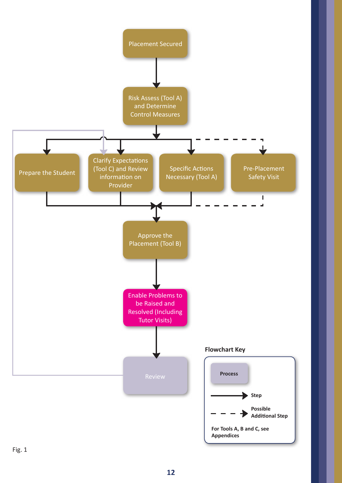

Fig. 1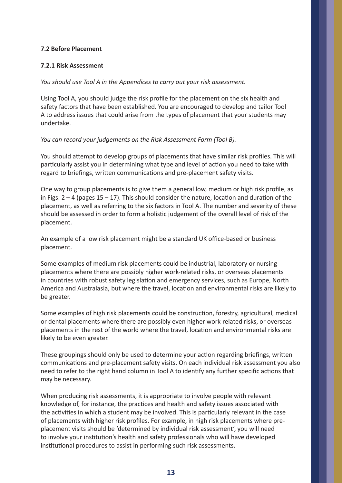## **7.2 Before Placement**

## **7.2.1 Risk Assessment**

*You should use Tool A in the Appendices to carry out your risk assessment.* 

Using Tool A, you should judge the risk profile for the placement on the six health and safety factors that have been established. You are encouraged to develop and tailor Tool A to address issues that could arise from the types of placement that your students may undertake.

*You can record your judgements on the Risk Assessment Form (Tool B).*

You should attempt to develop groups of placements that have similar risk profiles. This will particularly assist you in determining what type and level of action you need to take with regard to briefings, written communications and pre-placement safety visits.

One way to group placements is to give them a general low, medium or high risk profile, as in Figs.  $2 - 4$  (pages  $15 - 17$ ). This should consider the nature, location and duration of the placement, as well as referring to the six factors in Tool A. The number and severity of these should be assessed in order to form a holistic judgement of the overall level of risk of the placement.

An example of a low risk placement might be a standard UK office-based or business placement.

Some examples of medium risk placements could be industrial, laboratory or nursing placements where there are possibly higher work-related risks, or overseas placements in countries with robust safety legislation and emergency services, such as Europe, North America and Australasia, but where the travel, location and environmental risks are likely to be greater.

Some examples of high risk placements could be construction, forestry, agricultural, medical or dental placements where there are possibly even higher work-related risks, or overseas placements in the rest of the world where the travel, location and environmental risks are likely to be even greater.

These groupings should only be used to determine your action regarding briefings, written communications and pre-placement safety visits. On each individual risk assessment you also need to refer to the right hand column in Tool A to identify any further specific actions that may be necessary.

When producing risk assessments, it is appropriate to involve people with relevant knowledge of, for instance, the practices and health and safety issues associated with the activities in which a student may be involved. This is particularly relevant in the case of placements with higher risk profiles. For example, in high risk placements where preplacement visits should be 'determined by individual risk assessment', you will need to involve your institution's health and safety professionals who will have developed institutional procedures to assist in performing such risk assessments.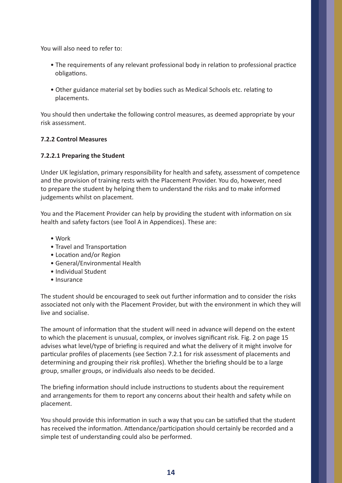You will also need to refer to:

- The requirements of any relevant professional body in relation to professional practice obligations.
- Other guidance material set by bodies such as Medical Schools etc. relating to placements.

You should then undertake the following control measures, as deemed appropriate by your risk assessment.

## **7.2.2 Control Measures**

## **7.2.2.1 Preparing the Student**

Under UK legislation, primary responsibility for health and safety, assessment of competence and the provision of training rests with the Placement Provider. You do, however, need to prepare the student by helping them to understand the risks and to make informed judgements whilst on placement.

You and the Placement Provider can help by providing the student with information on six health and safety factors (see Tool A in Appendices). These are:

- Work
- Travel and Transportation
- Location and/or Region
- General/Environmental Health
- Individual Student
- Insurance

The student should be encouraged to seek out further information and to consider the risks associated not only with the Placement Provider, but with the environment in which they will live and socialise.

The amount of information that the student will need in advance will depend on the extent to which the placement is unusual, complex, or involves significant risk. Fig. 2 on page 15 advises what level/type of briefing is required and what the delivery of it might involve for particular profiles of placements (see Section 7.2.1 for risk assessment of placements and determining and grouping their risk profiles). Whether the briefing should be to a large group, smaller groups, or individuals also needs to be decided.

The briefing information should include instructions to students about the requirement and arrangements for them to report any concerns about their health and safety while on placement.

You should provide this information in such a way that you can be satisfied that the student has received the information. Attendance/participation should certainly be recorded and a simple test of understanding could also be performed.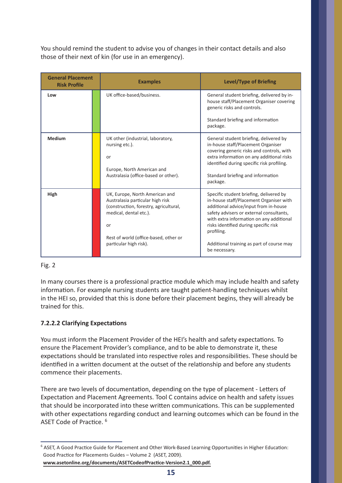You should remind the student to advise you of changes in their contact details and also those of their next of kin (for use in an emergency).

| <b>General Placement</b><br><b>Risk Profile</b> | <b>Examples</b>                                                                                                                                                                                                 | <b>Level/Type of Briefing</b>                                                                                                                                                                                                                                                                                                            |
|-------------------------------------------------|-----------------------------------------------------------------------------------------------------------------------------------------------------------------------------------------------------------------|------------------------------------------------------------------------------------------------------------------------------------------------------------------------------------------------------------------------------------------------------------------------------------------------------------------------------------------|
| Low                                             | UK office-based/business.                                                                                                                                                                                       | General student briefing, delivered by in-<br>house staff/Placement Organiser covering<br>generic risks and controls.<br>Standard briefing and information<br>package.                                                                                                                                                                   |
| <b>Medium</b>                                   | UK other (industrial, laboratory,<br>nursing etc.).<br>or<br>Europe, North American and<br>Australasia (office-based or other).                                                                                 | General student briefing, delivered by<br>in-house staff/Placement Organiser<br>covering generic risks and controls, with<br>extra information on any additional risks<br>identified during specific risk profiling.<br>Standard briefing and information<br>package.                                                                    |
| High                                            | UK, Europe, North American and<br>Australasia particular high risk<br>(construction, forestry, agricultural,<br>medical, dental etc.).<br>or<br>Rest of world (office-based, other or<br>particular high risk). | Specific student briefing, delivered by<br>in-house staff/Placement Organiser with<br>additional advice/input from in-house<br>safety advisers or external consultants,<br>with extra information on any additional<br>risks identified during specific risk<br>profiling.<br>Additional training as part of course may<br>be necessary. |

# Fig. 2

In many courses there is a professional practice module which may include health and safety information. For example nursing students are taught patient-handling techniques whilst in the HEI so, provided that this is done before their placement begins, they will already be trained for this.

# **7.2.2.2 Clarifying Expectations**

You must inform the Placement Provider of the HEI's health and safety expectations. To ensure the Placement Provider's compliance, and to be able to demonstrate it, these expectations should be translated into respective roles and responsibilities. These should be identified in a written document at the outset of the relationship and before any students commence their placements.

There are two levels of documentation, depending on the type of placement - Letters of Expectation and Placement Agreements. Tool C contains advice on health and safety issues that should be incorporated into these written communications. This can be supplemented with other expectations regarding conduct and learning outcomes which can be found in the ASET Code of Practice. <sup>6</sup>

<sup>&</sup>lt;sup>6</sup> ASET, A Good Practice Guide for Placement and Other Work-Based Learning Opportunities in Higher Education: Good Practice for Placements Guides – Volume 2 (ASET, 2009).  **www.asetonline.org/documents/ASETCodeofPractice-Version2.1\_000.pdf.**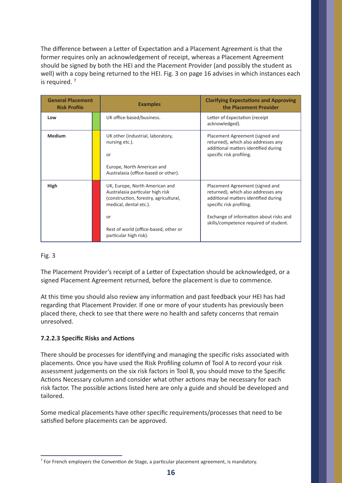The difference between a Letter of Expectation and a Placement Agreement is that the former requires only an acknowledgement of receipt, whereas a Placement Agreement should be signed by both the HEI and the Placement Provider (and possibly the student as well) with a copy being returned to the HEI. Fig. 3 on page 16 advises in which instances each is required. 7

| <b>General Placement</b><br><b>Risk Profile</b> | <b>Examples</b>                                                                                                                                                                                                 | <b>Clarifying Expectations and Approving</b><br>the Placement Provider                                                                                                                                                          |
|-------------------------------------------------|-----------------------------------------------------------------------------------------------------------------------------------------------------------------------------------------------------------------|---------------------------------------------------------------------------------------------------------------------------------------------------------------------------------------------------------------------------------|
| Low                                             | UK office-based/business.                                                                                                                                                                                       | Letter of Expectation (receipt<br>acknowledged).                                                                                                                                                                                |
| <b>Medium</b>                                   | UK other (industrial, laboratory,<br>nursing etc.).<br>or<br>Europe, North American and<br>Australasia (office-based or other).                                                                                 | Placement Agreement (signed and<br>returned), which also addresses any<br>additional matters identified during<br>specific risk profiling.                                                                                      |
| High                                            | UK, Europe, North American and<br>Australasia particular high risk<br>(construction, forestry, agricultural,<br>medical, dental etc.).<br>or<br>Rest of world (office-based, other or<br>particular high risk). | Placement Agreement (signed and<br>returned), which also addresses any<br>additional matters identified during<br>specific risk profiling.<br>Exchange of information about risks and<br>skills/competence required of student. |

# Fig. 3

The Placement Provider's receipt of a Letter of Expectation should be acknowledged, or a signed Placement Agreement returned, before the placement is due to commence.

At this time you should also review any information and past feedback your HEI has had regarding that Placement Provider. If one or more of your students has previously been placed there, check to see that there were no health and safety concerns that remain unresolved.

# **7.2.2.3 Specific Risks and Actions**

There should be processes for identifying and managing the specific risks associated with placements. Once you have used the Risk Profiling column of Tool A to record your risk assessment judgements on the six risk factors in Tool B, you should move to the Specific Actions Necessary column and consider what other actions may be necessary for each risk factor. The possible actions listed here are only a guide and should be developed and tailored.

Some medical placements have other specific requirements/processes that need to be satisfied before placements can be approved.

 $<sup>7</sup>$  For French employers the Convention de Stage, a particular placement agreement, is mandatory.</sup>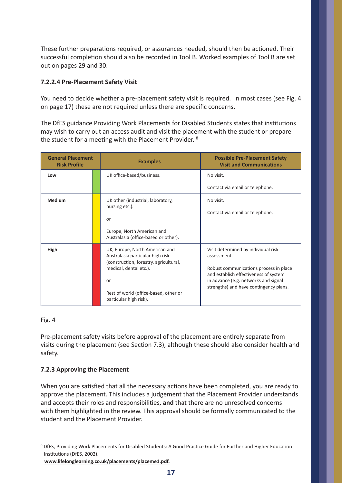These further preparations required, or assurances needed, should then be actioned. Their successful completion should also be recorded in Tool B. Worked examples of Tool B are set out on pages 29 and 30.

# **7.2.2.4 Pre-Placement Safety Visit**

You need to decide whether a pre-placement safety visit is required. In most cases (see Fig. 4 on page 17) these are not required unless there are specific concerns.

The DfES guidance Providing Work Placements for Disabled Students states that institutions may wish to carry out an access audit and visit the placement with the student or prepare the student for a meeting with the Placement Provider. 8

| <b>General Placement</b><br><b>Risk Profile</b> | <b>Examples</b>                                                                                              | <b>Possible Pre-Placement Safety</b><br><b>Visit and Communications</b>         |
|-------------------------------------------------|--------------------------------------------------------------------------------------------------------------|---------------------------------------------------------------------------------|
| Low                                             | UK office-based/business.                                                                                    | No visit.                                                                       |
|                                                 |                                                                                                              | Contact via email or telephone.                                                 |
| <b>Medium</b>                                   | UK other (industrial, laboratory,<br>nursing etc.).                                                          | No visit.                                                                       |
|                                                 | or                                                                                                           | Contact via email or telephone.                                                 |
|                                                 | Europe, North American and<br>Australasia (office-based or other).                                           |                                                                                 |
| High                                            | UK, Europe, North American and<br>Australasia particular high risk<br>(construction, forestry, agricultural, | Visit determined by individual risk<br>assessment.                              |
|                                                 | medical, dental etc.).                                                                                       | Robust communications process in place<br>and establish effectiveness of system |
|                                                 | or                                                                                                           | in advance (e.g. networks and signal<br>strengths) and have contingency plans.  |
|                                                 | Rest of world (office-based, other or<br>particular high risk).                                              |                                                                                 |

# Fig. 4

Pre-placement safety visits before approval of the placement are entirely separate from visits during the placement (see Section 7.3), although these should also consider health and safety.

# **7.2.3 Approving the Placement**

When you are satisfied that all the necessary actions have been completed, you are ready to approve the placement. This includes a judgement that the Placement Provider understands and accepts their roles and responsibilities, **and** that there are no unresolved concerns with them highlighted in the review. This approval should be formally communicated to the student and the Placement Provider.

<sup>&</sup>lt;sup>8</sup> DfES, Providing Work Placements for Disabled Students: A Good Practice Guide for Further and Higher Education Institutions (DfES, 2002).

**www.lifelonglearning.co.uk/placements/placeme1.pdf.**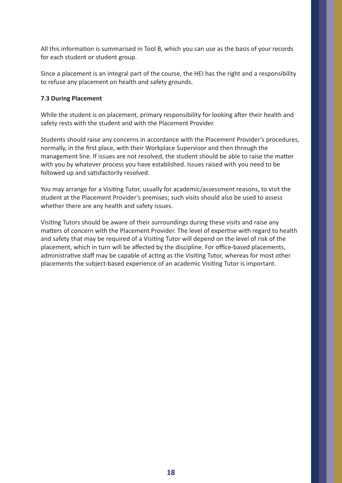All this information is summarised in Tool B, which you can use as the basis of your records for each student or student group.

Since a placement is an integral part of the course, the HEI has the right and a responsibility to refuse any placement on health and safety grounds.

## **7.3 During Placement**

While the student is on placement, primary responsibility for looking after their health and safety rests with the student and with the Placement Provider.

Students should raise any concerns in accordance with the Placement Provider's procedures, normally, in the first place, with their Workplace Supervisor and then through the management line. If issues are not resolved, the student should be able to raise the matter with you by whatever process you have established. Issues raised with you need to be followed up and satisfactorily resolved.

You may arrange for a Visiting Tutor, usually for academic/assessment reasons, to visit the student at the Placement Provider's premises; such visits should also be used to assess whether there are any health and safety issues.

Visiting Tutors should be aware of their surroundings during these visits and raise any matters of concern with the Placement Provider. The level of expertise with regard to health and safety that may be required of a Visiting Tutor will depend on the level of risk of the placement, which in turn will be affected by the discipline. For office-based placements, administrative staff may be capable of acting as the Visiting Tutor, whereas for most other placements the subject-based experience of an academic Visiting Tutor is important.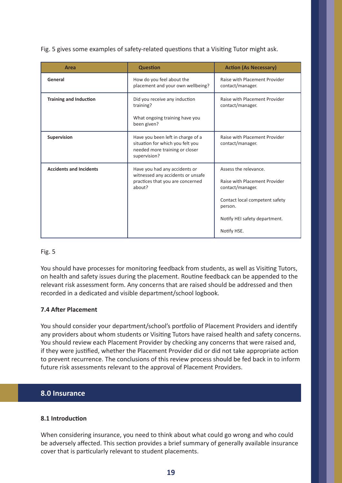Fig. 5 gives some examples of safety-related questions that a Visiting Tutor might ask.

| Area                           | <b>Question</b>                                                                                                         | <b>Action (As Necessary)</b>                                                                                                                                            |
|--------------------------------|-------------------------------------------------------------------------------------------------------------------------|-------------------------------------------------------------------------------------------------------------------------------------------------------------------------|
| General                        | How do you feel about the<br>placement and your own wellbeing?                                                          | Raise with Placement Provider<br>contact/manager.                                                                                                                       |
| <b>Training and Induction</b>  | Did you receive any induction<br>training?<br>What ongoing training have you<br>been given?                             | Raise with Placement Provider<br>contact/manager.                                                                                                                       |
| Supervision                    | Have you been left in charge of a<br>situation for which you felt you<br>needed more training or closer<br>supervision? | Raise with Placement Provider<br>contact/manager.                                                                                                                       |
| <b>Accidents and Incidents</b> | Have you had any accidents or<br>witnessed any accidents or unsafe<br>practices that you are concerned<br>about?        | Assess the relevance.<br>Raise with Placement Provider<br>contact/manager.<br>Contact local competent safety<br>person.<br>Notify HEI safety department.<br>Notify HSE. |

## Fig. 5

You should have processes for monitoring feedback from students, as well as Visiting Tutors, on health and safety issues during the placement. Routine feedback can be appended to the relevant risk assessment form. Any concerns that are raised should be addressed and then recorded in a dedicated and visible department/school logbook.

# **7.4 After Placement**

You should consider your department/school's portfolio of Placement Providers and identify any providers about whom students or Visiting Tutors have raised health and safety concerns. You should review each Placement Provider by checking any concerns that were raised and, if they were justified, whether the Placement Provider did or did not take appropriate action to prevent recurrence. The conclusions of this review process should be fed back in to inform future risk assessments relevant to the approval of Placement Providers.

# **8.0 Insurance**

## **8.1 Introduction**

When considering insurance, you need to think about what could go wrong and who could be adversely affected. This section provides a brief summary of generally available insurance cover that is particularly relevant to student placements.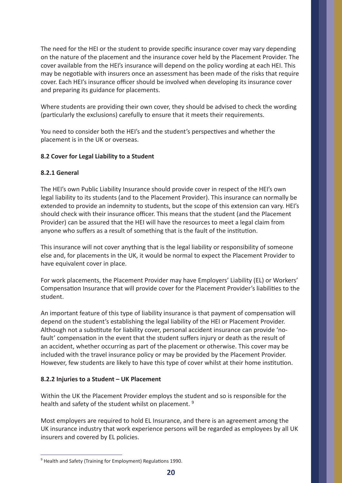The need for the HEI or the student to provide specific insurance cover may vary depending on the nature of the placement and the insurance cover held by the Placement Provider. The cover available from the HEI's insurance will depend on the policy wording at each HEI. This may be negotiable with insurers once an assessment has been made of the risks that require cover. Each HEI's insurance officer should be involved when developing its insurance cover and preparing its guidance for placements.

Where students are providing their own cover, they should be advised to check the wording (particularly the exclusions) carefully to ensure that it meets their requirements.

You need to consider both the HEI's and the student's perspectives and whether the placement is in the UK or overseas.

# **8.2 Cover for Legal Liability to a Student**

## **8.2.1 General**

The HEI's own Public Liability Insurance should provide cover in respect of the HEI's own legal liability to its students (and to the Placement Provider). This insurance can normally be extended to provide an indemnity to students, but the scope of this extension can vary. HEI's should check with their insurance officer. This means that the student (and the Placement Provider) can be assured that the HEI will have the resources to meet a legal claim from anyone who suffers as a result of something that is the fault of the institution.

This insurance will not cover anything that is the legal liability or responsibility of someone else and, for placements in the UK, it would be normal to expect the Placement Provider to have equivalent cover in place.

For work placements, the Placement Provider may have Employers' Liability (EL) or Workers' Compensation Insurance that will provide cover for the Placement Provider's liabilities to the student.

An important feature of this type of liability insurance is that payment of compensation will depend on the student's establishing the legal liability of the HEI or Placement Provider. Although not a substitute for liability cover, personal accident insurance can provide 'nofault' compensation in the event that the student suffers injury or death as the result of an accident, whether occurring as part of the placement or otherwise. This cover may be included with the travel insurance policy or may be provided by the Placement Provider. However, few students are likely to have this type of cover whilst at their home institution.

## **8.2.2 Injuries to a Student – UK Placement**

Within the UK the Placement Provider employs the student and so is responsible for the health and safety of the student whilst on placement.<sup>9</sup>

Most employers are required to hold EL Insurance, and there is an agreement among the UK insurance industry that work experience persons will be regarded as employees by all UK insurers and covered by EL policies.

 $9$  Health and Safety (Training for Employment) Regulations 1990.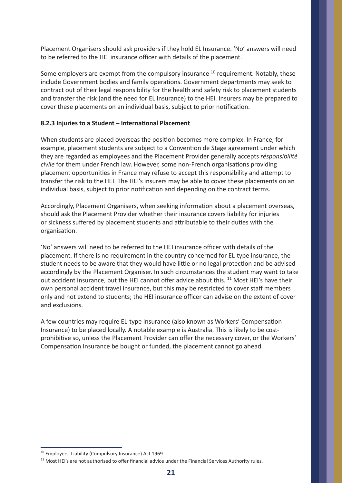Placement Organisers should ask providers if they hold EL Insurance. 'No' answers will need to be referred to the HEI insurance officer with details of the placement.

Some employers are exempt from the compulsory insurance <sup>10</sup> requirement. Notably, these include Government bodies and family operations. Government departments may seek to contract out of their legal responsibility for the health and safety risk to placement students and transfer the risk (and the need for EL Insurance) to the HEI. Insurers may be prepared to cover these placements on an individual basis, subject to prior notification.

## **8.2.3 Injuries to a Student – International Placement**

When students are placed overseas the position becomes more complex. In France, for example, placement students are subject to a Convention de Stage agreement under which they are regarded as employees and the Placement Provider generally accepts *résponsibilité civile* for them under French law. However, some non-French organisations providing placement opportunities in France may refuse to accept this responsibility and attempt to transfer the risk to the HEI. The HEI's insurers may be able to cover these placements on an individual basis, subject to prior notification and depending on the contract terms.

Accordingly, Placement Organisers, when seeking information about a placement overseas, should ask the Placement Provider whether their insurance covers liability for injuries or sickness suffered by placement students and attributable to their duties with the organisation.

'No' answers will need to be referred to the HEI insurance officer with details of the placement. If there is no requirement in the country concerned for EL-type insurance, the student needs to be aware that they would have little or no legal protection and be advised accordingly by the Placement Organiser. In such circumstances the student may want to take out accident insurance, but the HEI cannot offer advice about this. <sup>11</sup> Most HEI's have their own personal accident travel insurance, but this may be restricted to cover staff members only and not extend to students; the HEI insurance officer can advise on the extent of cover and exclusions.

A few countries may require EL-type insurance (also known as Workers' Compensation Insurance) to be placed locally. A notable example is Australia. This is likely to be costprohibitive so, unless the Placement Provider can offer the necessary cover, or the Workers' Compensation Insurance be bought or funded, the placement cannot go ahead.

<sup>&</sup>lt;sup>10</sup> Employers' Liability (Compulsory Insurance) Act 1969.

<sup>&</sup>lt;sup>11</sup> Most HEI's are not authorised to offer financial advice under the Financial Services Authority rules.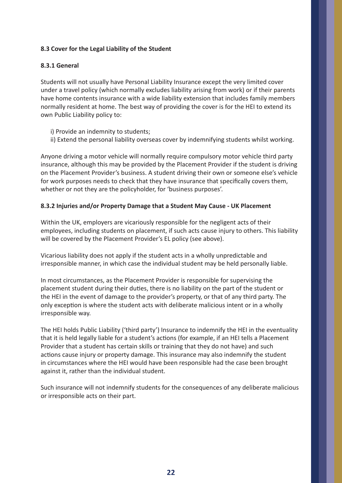# **8.3 Cover for the Legal Liability of the Student**

## **8.3.1 General**

Students will not usually have Personal Liability Insurance except the very limited cover under a travel policy (which normally excludes liability arising from work) or if their parents have home contents insurance with a wide liability extension that includes family members normally resident at home. The best way of providing the cover is for the HEI to extend its own Public Liability policy to:

- i) Provide an indemnity to students;
- ii) Extend the personal liability overseas cover by indemnifying students whilst working.

Anyone driving a motor vehicle will normally require compulsory motor vehicle third party insurance, although this may be provided by the Placement Provider if the student is driving on the Placement Provider's business. A student driving their own or someone else's vehicle for work purposes needs to check that they have insurance that specifically covers them, whether or not they are the policyholder, for 'business purposes'.

## **8.3.2 Injuries and/or Property Damage that a Student May Cause - UK Placement**

Within the UK, employers are vicariously responsible for the negligent acts of their employees, including students on placement, if such acts cause injury to others. This liability will be covered by the Placement Provider's EL policy (see above).

Vicarious liability does not apply if the student acts in a wholly unpredictable and irresponsible manner, in which case the individual student may be held personally liable.

In most circumstances, as the Placement Provider is responsible for supervising the placement student during their duties, there is no liability on the part of the student or the HEI in the event of damage to the provider's property, or that of any third party. The only exception is where the student acts with deliberate malicious intent or in a wholly irresponsible way.

The HEI holds Public Liability ('third party') Insurance to indemnify the HEI in the eventuality that it is held legally liable for a student's actions (for example, if an HEI tells a Placement Provider that a student has certain skills or training that they do not have) and such actions cause injury or property damage. This insurance may also indemnify the student in circumstances where the HEI would have been responsible had the case been brought against it, rather than the individual student.

Such insurance will not indemnify students for the consequences of any deliberate malicious or irresponsible acts on their part.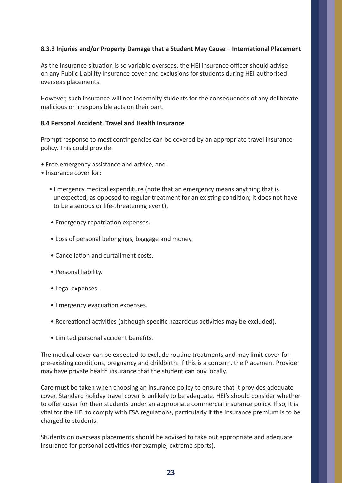## **8.3.3 Injuries and/or Property Damage that a Student May Cause – International Placement**

As the insurance situation is so variable overseas, the HEI insurance officer should advise on any Public Liability Insurance cover and exclusions for students during HEI-authorised overseas placements.

However, such insurance will not indemnify students for the consequences of any deliberate malicious or irresponsible acts on their part.

## **8.4 Personal Accident, Travel and Health Insurance**

Prompt response to most contingencies can be covered by an appropriate travel insurance policy. This could provide:

- Free emergency assistance and advice, and
- Insurance cover for:
	- Emergency medical expenditure (note that an emergency means anything that is unexpected, as opposed to regular treatment for an existing condition; it does not have to be a serious or life-threatening event).
	- Emergency repatriation expenses.
	- Loss of personal belongings, baggage and money.
	- Cancellation and curtailment costs.
	- Personal liability.
	- Legal expenses.
	- Emergency evacuation expenses.
	- Recreational activities (although specific hazardous activities may be excluded).
	- Limited personal accident benefits.

The medical cover can be expected to exclude routine treatments and may limit cover for pre-existing conditions, pregnancy and childbirth. If this is a concern, the Placement Provider may have private health insurance that the student can buy locally.

Care must be taken when choosing an insurance policy to ensure that it provides adequate cover. Standard holiday travel cover is unlikely to be adequate. HEI's should consider whether to offer cover for their students under an appropriate commercial insurance policy. If so, it is vital for the HEI to comply with FSA regulations, particularly if the insurance premium is to be charged to students.

Students on overseas placements should be advised to take out appropriate and adequate insurance for personal activities (for example, extreme sports).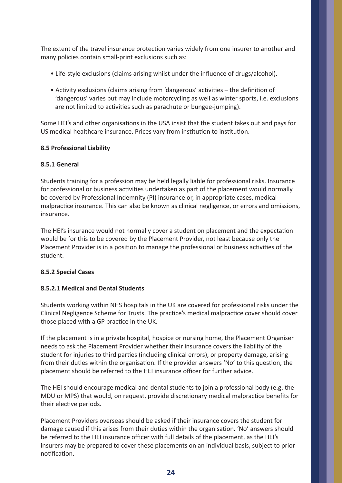The extent of the travel insurance protection varies widely from one insurer to another and many policies contain small-print exclusions such as:

- Life-style exclusions (claims arising whilst under the influence of drugs/alcohol).
- Activity exclusions (claims arising from 'dangerous' activities the definition of 'dangerous' varies but may include motorcycling as well as winter sports, i.e. exclusions are not limited to activities such as parachute or bungee-jumping).

Some HEI's and other organisations in the USA insist that the student takes out and pays for US medical healthcare insurance. Prices vary from institution to institution.

# **8.5 Professional Liability**

# **8.5.1 General**

Students training for a profession may be held legally liable for professional risks. Insurance for professional or business activities undertaken as part of the placement would normally be covered by Professional Indemnity (PI) insurance or, in appropriate cases, medical malpractice insurance. This can also be known as clinical negligence, or errors and omissions, insurance.

The HEI's insurance would not normally cover a student on placement and the expectation would be for this to be covered by the Placement Provider, not least because only the Placement Provider is in a position to manage the professional or business activities of the student.

# **8.5.2 Special Cases**

# **8.5.2.1 Medical and Dental Students**

Students working within NHS hospitals in the UK are covered for professional risks under the Clinical Negligence Scheme for Trusts. The practice's medical malpractice cover should cover those placed with a GP practice in the UK.

If the placement is in a private hospital, hospice or nursing home, the Placement Organiser needs to ask the Placement Provider whether their insurance covers the liability of the student for injuries to third parties (including clinical errors), or property damage, arising from their duties within the organisation. If the provider answers 'No' to this question, the placement should be referred to the HEI insurance officer for further advice.

The HEI should encourage medical and dental students to join a professional body (e.g. the MDU or MPS) that would, on request, provide discretionary medical malpractice benefits for their elective periods.

Placement Providers overseas should be asked if their insurance covers the student for damage caused if this arises from their duties within the organisation. 'No' answers should be referred to the HEI insurance officer with full details of the placement, as the HEI's insurers may be prepared to cover these placements on an individual basis, subject to prior notification.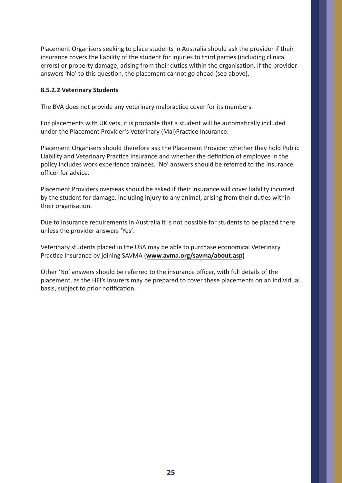Placement Organisers seeking to place students in Australia should ask the provider if their insurance covers the liability of the student for injuries to third parties (including clinical errors) or property damage, arising from their duties within the organisation. If the provider answers 'No' to this question, the placement cannot go ahead (see above).

## **8.5.2.2 Veterinary Students**

The BVA does not provide any veterinary malpractice cover for its members.

For placements with UK vets, it is probable that a student will be automatically included under the Placement Provider's Veterinary (Mal)Practice Insurance.

Placement Organisers should therefore ask the Placement Provider whether they hold Public Liability and Veterinary Practice Insurance and whether the definition of employee in the policy includes work experience trainees. 'No' answers should be referred to the insurance officer for advice.

Placement Providers overseas should be asked if their insurance will cover liability incurred by the student for damage, including injury to any animal, arising from their duties within their organisation.

Due to insurance requirements in Australia it is not possible for students to be placed there unless the provider answers 'Yes'.

Veterinary students placed in the USA may be able to purchase economical Veterinary Practice Insurance by joining SAVMA (**www.avma.org/savma/about.asp)**

Other 'No' answers should be referred to the insurance officer, with full details of the placement, as the HEI's insurers may be prepared to cover these placements on an individual basis, subject to prior notification.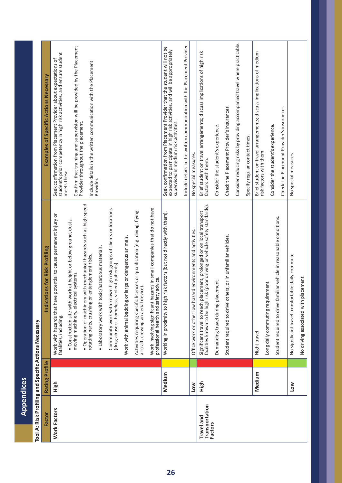| $\frac{1}{2}$                           |  |
|-----------------------------------------|--|
| i.                                      |  |
| j                                       |  |
| Ξ<br>֞֝֝֝֝ <b>֓</b> ֧֦֓֝֬֝֬֝֬֝֓֝֬֝<br>١ |  |
| Ì<br>i                                  |  |
| ءِ<br>م<br>_<br>  ∠<br>                 |  |
| í                                       |  |

| Factor                                         | Rating Profile | <b>Indications for Risk Profiling</b>                                                                                                                  | Examples of Specific Actions Necessary                                                                                                                                                        |
|------------------------------------------------|----------------|--------------------------------------------------------------------------------------------------------------------------------------------------------|-----------------------------------------------------------------------------------------------------------------------------------------------------------------------------------------------|
| <b>Work Factors</b>                            | High           | potential to cause permanent injury or<br>Work with hazards that have<br>fatalities, including:                                                        | student's prior competency in high risk activities, and ensure student<br>Seek confirmation from Placement Provider about expectations of                                                     |
|                                                |                | . Construction site with work at height or below ground, dusts,<br>moving machinery, electrical systems.                                               | Confirm that training and supervision will be provided by the Placement<br>meets these.                                                                                                       |
|                                                |                | · Operation of machinery with mechanical hazards such as high speed<br>entanglement risks.<br>rotating parts, crushing or                              | Include details in the written communication with the Placement<br>Provider throughout the placement.                                                                                         |
|                                                |                | · Laboratory work with toxic/hazardous materials.                                                                                                      | Provider.                                                                                                                                                                                     |
|                                                |                | Community work with known high risk groups of clients or locations<br>(drug abusers, homeless, violent patients)                                       |                                                                                                                                                                                               |
|                                                |                | Work with animal bedding or large or dangerous animals.                                                                                                |                                                                                                                                                                                               |
|                                                |                | Activities requiring specific licences or qualification (e.g. diving, flying<br>aircraft, crewing an aerial device)                                    |                                                                                                                                                                                               |
|                                                |                | Work involving significant hazards in small companies that do not have<br>professional health and safety advice.                                       |                                                                                                                                                                                               |
|                                                | Medium         | risk factors (but not directly with them).<br>Working in proximity to high                                                                             | Seek confirmation from Placement Provider that the student will not be<br>expected to participate in high risk activities, and will be appropriately<br>supervised in medium risk activities. |
|                                                |                |                                                                                                                                                        | Include details in the written communication with the Placement Provider                                                                                                                      |
|                                                | <b>Low</b>     | Office work or other low hazard environments and activities.                                                                                           | No special measures.                                                                                                                                                                          |
| Transportation<br>Travel and<br><b>Factors</b> | High           | Significant travel to reach placement, prolonged or on local transport<br>facilities known to be high risk (poor driving or vehicle safety standards). | Brief student on travel arrangements; discuss implications of high risk<br>factors with them.                                                                                                 |
|                                                |                | Demanding travel during placement.                                                                                                                     | Consider the student's experience.                                                                                                                                                            |
|                                                |                | Student required to drive others, or in unfamiliar vehicles.                                                                                           | Check the Placement Provider's insurances.                                                                                                                                                    |
|                                                |                |                                                                                                                                                        | Consider reducing risks by providing accompanied travel where practicable.                                                                                                                    |
|                                                |                |                                                                                                                                                        | Specify regular contact times.                                                                                                                                                                |
|                                                | Medium         | Night travel.                                                                                                                                          | Brief student on travel arrangements; discuss implications of medium<br>risk factors with them.                                                                                               |
|                                                |                | Long daily commuting requirement.                                                                                                                      | Consider the student's experience.                                                                                                                                                            |
|                                                |                | Student required to drive familiar vehicle in reasonable conditions.                                                                                   | Check the Placement Provider's insurances.                                                                                                                                                    |
|                                                | <b>Low</b>     | No significant travel, comfortable daily commute.                                                                                                      | No special measures.                                                                                                                                                                          |
|                                                |                | No driving associated with placement.                                                                                                                  |                                                                                                                                                                                               |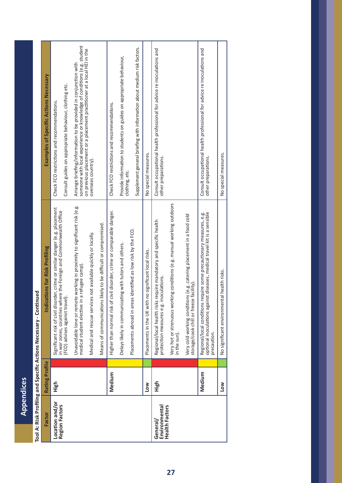Appendices **Appendices**

| י<br>in the control of the control of the control of the control of the control of the control of the control of the control of the control of the control of the control of the control of the control of the control of the contr |
|-------------------------------------------------------------------------------------------------------------------------------------------------------------------------------------------------------------------------------------|
|                                                                                                                                                                                                                                     |
| ļ<br>I                                                                                                                                                                                                                              |
|                                                                                                                                                                                                                                     |
| ֧֖֧֚֚֟֓֟֓֬֓ <u>֓</u> ֧֧֖֖֖֖֖֖֖֖֧֧֧֧֧֧֧֧֧֧֧֧֧֚֚֚֚֚֚֚֚֚֚֓֬֓֝֓֝֬֝֓֝֓֝֬֝֬֝֬֝֬֝֬֝֬֝֬֝֬֝֬֝֬֝                                                                                                                                              |
|                                                                                                                                                                                                                                     |
|                                                                                                                                                                                                                                     |
|                                                                                                                                                                                                                                     |
| İ<br>i                                                                                                                                                                                                                              |
| ו                                                                                                                                                                                                                                   |
| i                                                                                                                                                                                                                                   |
|                                                                                                                                                                                                                                     |
|                                                                                                                                                                                                                                     |
| ï                                                                                                                                                                                                                                   |
| è                                                                                                                                                                                                                                   |

| Factor                                             | Rating Profile | <b>Indications for Risk Profiling</b>                                                                                                                          | <b>Examples of Specific Actions Necessary</b>                                                                                             |
|----------------------------------------------------|----------------|----------------------------------------------------------------------------------------------------------------------------------------------------------------|-------------------------------------------------------------------------------------------------------------------------------------------|
| Location and/or<br><b>Region Factors</b>           | High           | Significant risk of civil disorder, crime or similar danger (e.g. placement<br>in war zones, countries where the Foreign and Commonwealth Office               | Check FCO restrictions and recommendations.                                                                                               |
|                                                    |                | (FCO) advises against travel)                                                                                                                                  | Consult guides on appropriate behaviour, clothing etc.                                                                                    |
|                                                    |                | Unavoidable lone or remote working in proximity to significant risk (e.g.<br>medical student elective in a refugee camp).                                      | someone with local experience or knowledge of conditions (e.g. student<br>Arrange briefing/information to be provided in conjunction with |
|                                                    |                | Medical and rescue services not available quickly or locally.                                                                                                  | on previous placement or a placement practitioner at a local HEI in the<br>overseas country).                                             |
|                                                    |                | Means of communications likely to be difficult or compromised.                                                                                                 |                                                                                                                                           |
|                                                    | Medium         | Higher than normal risk of civil disorder, crime or comparable danger.                                                                                         | Check FCO restrictions and recommendations.                                                                                               |
|                                                    |                | Delays likely in communicating with tutors and others.                                                                                                         | Provide information to students on guides on appropriate behaviour,                                                                       |
|                                                    |                | identified as low risk by the FCO.<br>Placements abroad in areas                                                                                               | clothing, etc.                                                                                                                            |
|                                                    |                |                                                                                                                                                                | Supplement general briefing with information about medium risk factors.                                                                   |
|                                                    | <b>NO7</b>     | Placements in the UK with no significant local risks.                                                                                                          | No special measures.                                                                                                                      |
| <b>Health Factors</b><br>Environmental<br>General/ | High           | Regional/local health risks require mandatory and specific health<br>protection measures e.g. inoculations.                                                    | Consult occupational health professional for advice re inoculations and<br>other preparations.                                            |
|                                                    |                | Very hot or strenuous working conditions (e.g. manual working outdoors<br>in the sun).                                                                         |                                                                                                                                           |
|                                                    |                | Very cold working conditions (e.g. catering placement in a food cold<br>storage/cook chill or freeze facility).                                                |                                                                                                                                           |
|                                                    | Medium         | optional inoculations against diseases, medical travel kit is a sensible<br>Regional/local conditions require some precautionary measures, e.g.<br>precaution. | Consult occupational health professional for advice re inoculations and<br>other preparations.                                            |
|                                                    | <b>NOT</b>     | No significant environmental health risks.                                                                                                                     | No special measures.                                                                                                                      |
|                                                    |                |                                                                                                                                                                |                                                                                                                                           |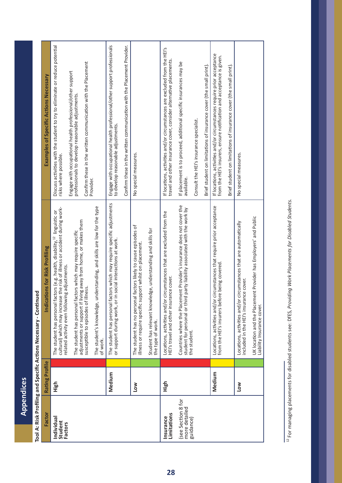Appendices **Appendices**

| $\overline{a}$<br>i<br>Ï |
|--------------------------|
|                          |
| I<br>l                   |
|                          |
| į<br>֦֧֚֚֕               |
|                          |
| ì                        |
| j                        |
| i                        |
|                          |
|                          |
|                          |
|                          |
| ř                        |

| Factor                                                                      | Rating Profile | <b>Indications for Risk Profiling</b>                                                                                                                                                                                                                                                                                                                                                                                                                                              | Examples of Specific Actions Necessary                                                                                                                                                                                                                                                               |
|-----------------------------------------------------------------------------|----------------|------------------------------------------------------------------------------------------------------------------------------------------------------------------------------------------------------------------------------------------------------------------------------------------------------------------------------------------------------------------------------------------------------------------------------------------------------------------------------------|------------------------------------------------------------------------------------------------------------------------------------------------------------------------------------------------------------------------------------------------------------------------------------------------------|
| Individual<br>Student<br><b>Factors</b>                                     | High           | The student's knowledge, understanding, and skills are low for the type<br>cultural) which may increase the risk of illness or accident during work-<br>The student has personal factors (e.g. health, disability, <sup>12</sup> linguistic or<br>adjustments or support if living away from home, or makes them<br>The student has personal factors which may require specific<br>related activity even following adjustments.<br>susceptible to episodes of illness.<br>of work. | Discuss activities with the student to try to eliminate or reduce potential<br>Confirm these in the written communication with the Placement<br>Engage with occupational health professional/other support<br>professionals to develop reasonable adjustments.<br>risks where possible.<br>Provider. |
|                                                                             | Medium<br>Low  | The student has personal factors which may require specific adjustments<br>The student has no personal factors likely to cause episodes of<br>or support during work, or in social interactions at work.<br>illness or require specific support whilst on placement.                                                                                                                                                                                                               | Engage with occupational health professional/other support professionals<br>Confirm these in the written communication with the Placement Provider.<br>to develop reasonable adjustments.<br>No special measures.                                                                                    |
| see Section 8 for<br>more detailed<br>Limitations<br>Insurance<br>guidance) | High           | Countries where the Placement Provider's insurance does not cover the<br>student for personal or third party liability associated with the work by<br>circumstances that are excluded from the<br>Student has relevant knowledge, understanding and skills for<br>HEI's travel and other insurance cover.<br>Locations, activities and/or<br>the type of work.<br>the student.                                                                                                     | If locations, activities and/or circumstances are excluded from the HEI's<br>travel and other insurance cover, consider alternative placements.<br>If placement is to proceed, additional specific insurances may be<br>Consult the HEI's insurance specialist.<br>available.                        |
|                                                                             | Medium         | Locations, activities and/or circumstances that require prior acceptance<br>re being covered.<br>from the HEI's insurers befor                                                                                                                                                                                                                                                                                                                                                     | If locations, activities and/or circumstances require prior acceptance<br>from the HEI's insurers, ensure notification and acceptance is given.<br>Brief student on limitations of insurance cover (the small print).<br>Brief student on limitations of insurance cover (the small print).          |
|                                                                             | Low            | UK location and the Placement Provider has Employers' and Public<br>Locations, activities and/or circumstances that are automatically<br>included in the HEI's insurance cover.<br>Liability Insurance cover.                                                                                                                                                                                                                                                                      | No special measures.                                                                                                                                                                                                                                                                                 |

<sup>12</sup> For managing placements for disabled students see: DfES, Providing Work Placements for Disabled Students. 12 For managing placements for disabled students see: DfES, *Providing Work Placements for Disabled Students.*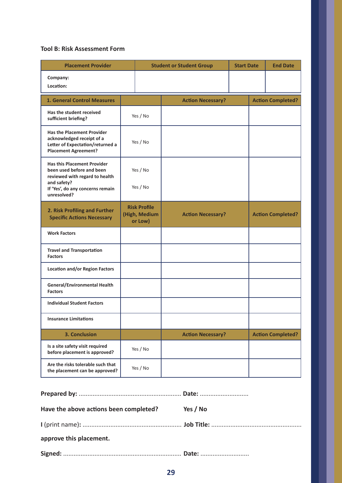## **Tool B: Risk Assessment Form**

| <b>Placement Provider</b>                                                                                                                                           |                                                 |  | <b>Student or Student Group</b> | <b>Start Date</b> | <b>End Date</b>          |
|---------------------------------------------------------------------------------------------------------------------------------------------------------------------|-------------------------------------------------|--|---------------------------------|-------------------|--------------------------|
| Company:<br>Location:                                                                                                                                               |                                                 |  |                                 |                   |                          |
| <b>1. General Control Measures</b>                                                                                                                                  |                                                 |  | <b>Action Necessary?</b>        |                   | <b>Action Completed?</b> |
| Has the student received<br>sufficient briefing?                                                                                                                    | Yes / No                                        |  |                                 |                   |                          |
| <b>Has the Placement Provider</b><br>acknowledged receipt of a<br>Letter of Expectation/returned a<br><b>Placement Agreement?</b>                                   | Yes / No                                        |  |                                 |                   |                          |
| <b>Has this Placement Provider</b><br>been used before and been<br>reviewed with regard to health<br>and safety?<br>If 'Yes', do any concerns remain<br>unresolved? | Yes / No<br>Yes / No                            |  |                                 |                   |                          |
| 2. Risk Profiling and Further<br><b>Specific Actions Necessary</b>                                                                                                  | <b>Risk Profile</b><br>(High, Medium<br>or Low) |  | <b>Action Necessary?</b>        |                   | <b>Action Completed?</b> |
| <b>Work Factors</b>                                                                                                                                                 |                                                 |  |                                 |                   |                          |
| <b>Travel and Transportation</b><br><b>Factors</b>                                                                                                                  |                                                 |  |                                 |                   |                          |
| <b>Location and/or Region Factors</b>                                                                                                                               |                                                 |  |                                 |                   |                          |
| <b>General/Environmental Health</b><br><b>Factors</b>                                                                                                               |                                                 |  |                                 |                   |                          |
| <b>Individual Student Factors</b>                                                                                                                                   |                                                 |  |                                 |                   |                          |
| <b>Insurance Limitations</b>                                                                                                                                        |                                                 |  |                                 |                   |                          |
| <b>3. Conclusion</b>                                                                                                                                                |                                                 |  | <b>Action Necessary?</b>        |                   | <b>Action Completed?</b> |
| Is a site safety visit required<br>before placement is approved?                                                                                                    | Yes / No                                        |  |                                 |                   |                          |
| Are the risks tolerable such that<br>the placement can be approved?                                                                                                 | Yes / No                                        |  |                                 |                   |                          |

| Have the above actions been completed? | Yes / No |
|----------------------------------------|----------|
|                                        |          |
| approve this placement.                |          |
|                                        |          |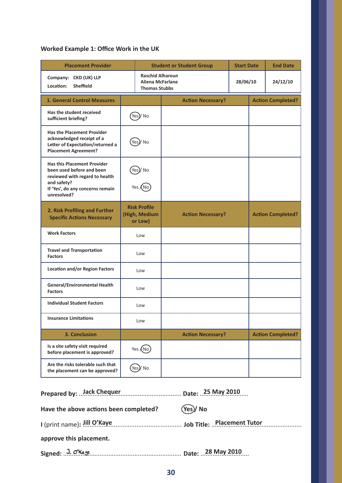# **Worked Example 1: Office Work in the UK**

| <b>Placement Provider</b>                                                                                                                                           |                                                                            |  | <b>Student or Student Group</b> | <b>Start Date</b> |                          | <b>End Date</b>          |
|---------------------------------------------------------------------------------------------------------------------------------------------------------------------|----------------------------------------------------------------------------|--|---------------------------------|-------------------|--------------------------|--------------------------|
| Company: CKD (UK) LLP<br>Location:<br><b>Sheffield</b>                                                                                                              | <b>Raschid Alharoun</b><br><b>Aliena McFarlane</b><br><b>Thomas Stubbs</b> |  |                                 | 28/06/10          |                          | 24/12/10                 |
| <b>1. General Control Measures</b>                                                                                                                                  |                                                                            |  | <b>Action Necessary?</b>        |                   | <b>Action Completed?</b> |                          |
| Has the student received<br>sufficient briefing?                                                                                                                    | Yes)/ No                                                                   |  |                                 |                   |                          |                          |
| <b>Has the Placement Provider</b><br>acknowledged receipt of a<br>Letter of Expectation/returned a<br><b>Placement Agreement?</b>                                   | )/ No<br>Yes                                                               |  |                                 |                   |                          |                          |
| <b>Has this Placement Provider</b><br>been used before and been<br>reviewed with regard to health<br>and safety?<br>If 'Yes', do any concerns remain<br>unresolved? | Yes)/No<br>Yes (No                                                         |  |                                 |                   |                          |                          |
| 2. Risk Profiling and Further<br><b>Specific Actions Necessary</b>                                                                                                  | <b>Risk Profile</b><br>(High, Medium<br>or Low)                            |  | <b>Action Necessary?</b>        |                   |                          | <b>Action Completed?</b> |
| <b>Work Factors</b>                                                                                                                                                 | Low                                                                        |  |                                 |                   |                          |                          |
| <b>Travel and Transportation</b><br><b>Factors</b>                                                                                                                  | Low                                                                        |  |                                 |                   |                          |                          |
| <b>Location and/or Region Factors</b>                                                                                                                               | Low                                                                        |  |                                 |                   |                          |                          |
| General/Environmental Health<br><b>Factors</b>                                                                                                                      | Low                                                                        |  |                                 |                   |                          |                          |
| <b>Individual Student Factors</b>                                                                                                                                   | Low                                                                        |  |                                 |                   |                          |                          |
| <b>Insurance Limitations</b>                                                                                                                                        | Low                                                                        |  |                                 |                   |                          |                          |
| 3. Conclusion                                                                                                                                                       |                                                                            |  | <b>Action Necessary?</b>        |                   |                          | <b>Action Completed?</b> |
| Is a site safety visit required<br>before placement is approved?                                                                                                    | Yes $(No)$                                                                 |  |                                 |                   |                          |                          |
| Are the risks tolerable such that<br>the placement can be approved?                                                                                                 | (Yes)/ No                                                                  |  |                                 |                   |                          |                          |

| Have the above actions been completed?           | (Yes)/No                                                                 |
|--------------------------------------------------|--------------------------------------------------------------------------|
|                                                  | I (print name): Jill O'Kaye entitled and some Job Title: Placement Tutor |
| approve this placement.                          |                                                                          |
| Signed: J. O'Kaye members 2010 Date: 28 May 2010 |                                                                          |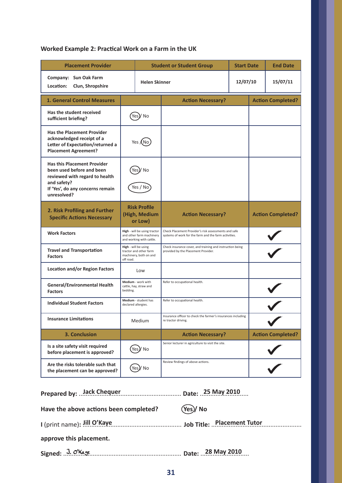# **Worked Example 2: Practical Work on a Farm in the UK**

| <b>Placement Provider</b>                                                                                                                                           |                                                                                       |  | <b>Student or Student Group</b>                                                                               | <b>Start Date</b> |                          | <b>End Date</b>          |
|---------------------------------------------------------------------------------------------------------------------------------------------------------------------|---------------------------------------------------------------------------------------|--|---------------------------------------------------------------------------------------------------------------|-------------------|--------------------------|--------------------------|
| Company: Sun Oak Farm<br>Location:<br>Clun, Shropshire                                                                                                              | <b>Helen Skinner</b>                                                                  |  |                                                                                                               | 12/07/10          |                          | 15/07/11                 |
| <b>1. General Control Measures</b>                                                                                                                                  |                                                                                       |  | <b>Action Necessary?</b>                                                                                      |                   | <b>Action Completed?</b> |                          |
| Has the student received<br>sufficient briefing?                                                                                                                    | No<br>Yes                                                                             |  |                                                                                                               |                   |                          |                          |
| <b>Has the Placement Provider</b><br>acknowledged receipt of a<br>Letter of Expectation/returned a<br><b>Placement Agreement?</b>                                   | Yes <b>A</b> No                                                                       |  |                                                                                                               |                   |                          |                          |
| <b>Has this Placement Provider</b><br>been used before and been<br>reviewed with regard to health<br>and safety?<br>If 'Yes', do any concerns remain<br>unresolved? | No<br>Yes / No                                                                        |  |                                                                                                               |                   |                          |                          |
| 2. Risk Profiling and Further<br><b>Specific Actions Necessary</b>                                                                                                  | <b>Risk Profile</b><br>(High, Medium<br>or Low)                                       |  | <b>Action Necessary?</b>                                                                                      |                   | <b>Action Completed?</b> |                          |
| <b>Work Factors</b>                                                                                                                                                 | High - will be using tractor<br>and other farm machinery<br>and working with cattle.  |  | Check Placement Provider's risk assessments and safe<br>systems of work for the farm and the farm activities. |                   |                          |                          |
| <b>Travel and Transportation</b><br><b>Factors</b>                                                                                                                  | High - will be using<br>tractor and other farm<br>machinery, both on and<br>off road. |  | Check insurance cover, and training and instruction being<br>provided by the Placement Provider.              |                   |                          |                          |
| <b>Location and/or Region Factors</b>                                                                                                                               | Low                                                                                   |  |                                                                                                               |                   |                          |                          |
| <b>General/Environmental Health</b><br><b>Factors</b>                                                                                                               | Medium - work with<br>cattle, hay, straw and<br>bedding.                              |  | Refer to occupational health.                                                                                 |                   |                          |                          |
| <b>Individual Student Factors</b>                                                                                                                                   | Medium - student has<br>declared allergies.                                           |  | Refer to occupational health.                                                                                 |                   |                          |                          |
| <b>Insurance Limitations</b>                                                                                                                                        | Medium                                                                                |  | Insurance officer to check the farmer's insurances including<br>re tractor driving.                           |                   |                          |                          |
| 3. Conclusion                                                                                                                                                       |                                                                                       |  | <b>Action Necessary?</b>                                                                                      |                   |                          | <b>Action Completed?</b> |
| Is a site safety visit required<br>before placement is approved?                                                                                                    | Yes)/ No                                                                              |  | Senior lecturer in agriculture to visit the site.                                                             |                   |                          |                          |
| Are the risks tolerable such that<br>the placement can be approved?                                                                                                 | Yes)/No                                                                               |  | Review findings of above actions.                                                                             |                   |                          |                          |

| Have the above actions been completed?           | (Yes)/No                                                                 |
|--------------------------------------------------|--------------------------------------------------------------------------|
|                                                  | I (print name): Jill O'Kaye entitled and some Job Title: Placement Tutor |
| approve this placement.                          |                                                                          |
| Signed: J. O'Kaye members 2010 Date: 28 May 2010 |                                                                          |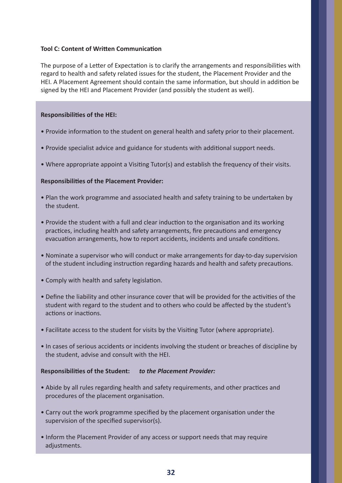## **Tool C: Content of Written Communication**

The purpose of a Letter of Expectation is to clarify the arrangements and responsibilities with regard to health and safety related issues for the student, the Placement Provider and the HEI. A Placement Agreement should contain the same information, but should in addition be signed by the HEI and Placement Provider (and possibly the student as well).

## **Responsibilities of the HEI:**

- Provide information to the student on general health and safety prior to their placement.
- Provide specialist advice and guidance for students with additional support needs.
- Where appropriate appoint a Visiting Tutor(s) and establish the frequency of their visits.

## **Responsibilities of the Placement Provider:**

- Plan the work programme and associated health and safety training to be undertaken by the student.
- Provide the student with a full and clear induction to the organisation and its working practices, including health and safety arrangements, fire precautions and emergency evacuation arrangements, how to report accidents, incidents and unsafe conditions.
- Nominate a supervisor who will conduct or make arrangements for day-to-day supervision of the student including instruction regarding hazards and health and safety precautions.
- Comply with health and safety legislation.
- Define the liability and other insurance cover that will be provided for the activities of the student with regard to the student and to others who could be affected by the student's actions or inactions.
- Facilitate access to the student for visits by the Visiting Tutor (where appropriate).
- In cases of serious accidents or incidents involving the student or breaches of discipline by the student, advise and consult with the HEI.

# **Responsibilities of the Student:** *to the Placement Provider:*

- Abide by all rules regarding health and safety requirements, and other practices and procedures of the placement organisation.
- Carry out the work programme specified by the placement organisation under the supervision of the specified supervisor(s).
- Inform the Placement Provider of any access or support needs that may require adjustments.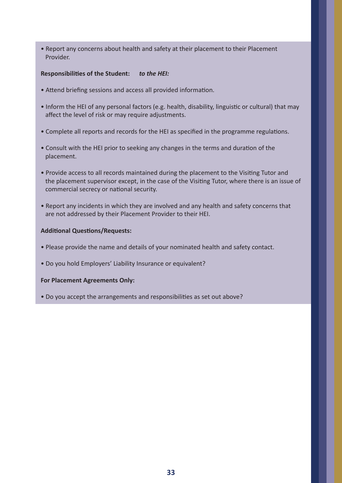• Report any concerns about health and safety at their placement to their Placement Provider.

## **Responsibilities of the Student:** *to the HEI:*

- Attend briefing sessions and access all provided information.
- Inform the HEI of any personal factors (e.g. health, disability, linguistic or cultural) that may affect the level of risk or may require adjustments.
- Complete all reports and records for the HEI as specified in the programme regulations.
- Consult with the HEI prior to seeking any changes in the terms and duration of the placement.
- Provide access to all records maintained during the placement to the Visiting Tutor and the placement supervisor except, in the case of the Visiting Tutor, where there is an issue of commercial secrecy or national security.
- Report any incidents in which they are involved and any health and safety concerns that are not addressed by their Placement Provider to their HEI.

## **Additional Questions/Requests:**

- Please provide the name and details of your nominated health and safety contact.
- Do you hold Employers' Liability Insurance or equivalent?

## **For Placement Agreements Only:**

• Do you accept the arrangements and responsibilities as set out above?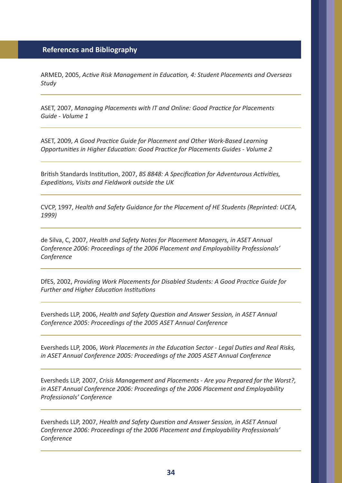ARMED, 2005, *Active Risk Management in Education, 4: Student Placements and Overseas Study*

ASET, 2007, *Managing Placements with IT and Online: Good Practice for Placements Guide - Volume 1*

ASET, 2009, *A Good Practice Guide for Placement and Other Work-Based Learning Opportunities in Higher Education: Good Practice for Placements Guides - Volume 2* 

British Standards Institution, 2007, *BS 8848: A Specification for Adventurous Activities, Expeditions, Visits and Fieldwork outside the UK*

CVCP, 1997, *Health and Safety Guidance for the Placement of HE Students (Reprinted: UCEA, 1999)*

de Silva, C, 2007, *Health and Safety Notes for Placement Managers, in ASET Annual Conference 2006: Proceedings of the 2006 Placement and Employability Professionals' Conference*

DfES, 2002, *Providing Work Placements for Disabled Students: A Good Practice Guide for Further and Higher Education Institutions*

Eversheds LLP, 2006, *Health and Safety Question and Answer Session, in ASET Annual Conference 2005: Proceedings of the 2005 ASET Annual Conference*

Eversheds LLP, 2006, *Work Placements in the Education Sector - Legal Duties and Real Risks, in ASET Annual Conference 2005: Proceedings of the 2005 ASET Annual Conference*

Eversheds LLP, 2007, *Crisis Management and Placements - Are you Prepared for the Worst?, in ASET Annual Conference 2006: Proceedings of the 2006 Placement and Employability Professionals' Conference*

Eversheds LLP, 2007, *Health and Safety Question and Answer Session, in ASET Annual Conference 2006: Proceedings of the 2006 Placement and Employability Professionals' Conference*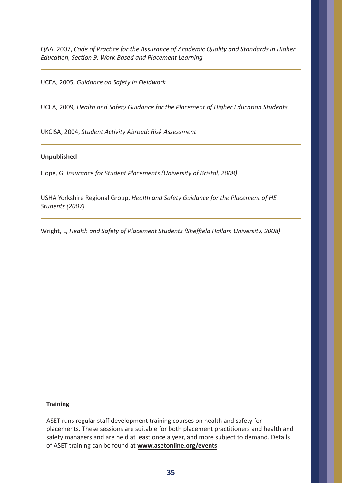QAA, 2007, *Code of Practice for the Assurance of Academic Quality and Standards in Higher Education, Section 9: Work-Based and Placement Learning* 

UCEA, 2005, *Guidance on Safety in Fieldwork* 

UCEA, 2009, *Health and Safety Guidance for the Placement of Higher Education Students*

UKCISA, 2004, *Student Activity Abroad: Risk Assessment*

## **Unpublished**

Hope, G, *Insurance for Student Placements (University of Bristol, 2008)*

USHA Yorkshire Regional Group, *Health and Safety Guidance for the Placement of HE Students (2007)*

Wright, L, *Health and Safety of Placement Students (Sheffield Hallam University, 2008)*

## **Training**

ASET runs regular staff development training courses on health and safety for placements. These sessions are suitable for both placement practitioners and health and safety managers and are held at least once a year, and more subject to demand. Details of ASET training can be found at **www.asetonline.org/events**